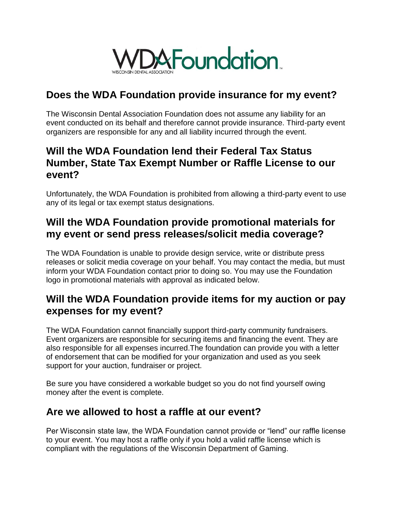

## **Does the WDA Foundation provide insurance for my event?**

The Wisconsin Dental Association Foundation does not assume any liability for an event conducted on its behalf and therefore cannot provide insurance. Third-party event organizers are responsible for any and all liability incurred through the event.

## **Will the WDA Foundation lend their Federal Tax Status Number, State Tax Exempt Number or Raffle License to our event?**

Unfortunately, the WDA Foundation is prohibited from allowing a third-party event to use any of its legal or tax exempt status designations.

# **Will the WDA Foundation provide promotional materials for my event or send press releases/solicit media coverage?**

The WDA Foundation is unable to provide design service, write or distribute press releases or solicit media coverage on your behalf. You may contact the media, but must inform your WDA Foundation contact prior to doing so. You may use the Foundation logo in promotional materials with approval as indicated below.

### **Will the WDA Foundation provide items for my auction or pay expenses for my event?**

The WDA Foundation cannot financially support third-party community fundraisers. Event organizers are responsible for securing items and financing the event. They are also responsible for all expenses incurred.The foundation can provide you with a letter of endorsement that can be modified for your organization and used as you seek support for your auction, fundraiser or project.

Be sure you have considered a workable budget so you do not find yourself owing money after the event is complete.

# **Are we allowed to host a raffle at our event?**

Per Wisconsin state law, the WDA Foundation cannot provide or "lend" our raffle license to your event. You may host a raffle only if you hold a valid raffle license which is compliant with the regulations of the Wisconsin Department of Gaming.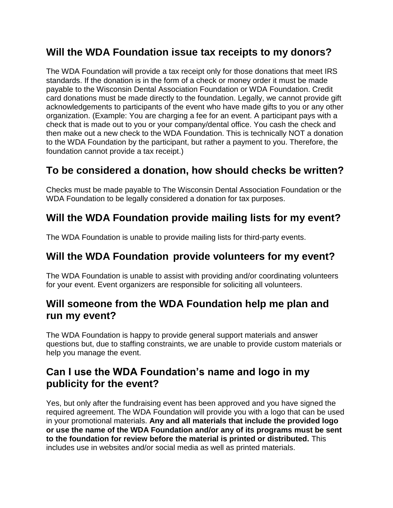# **Will the WDA Foundation issue tax receipts to my donors?**

The WDA Foundation will provide a tax receipt only for those donations that meet IRS standards. If the donation is in the form of a check or money order it must be made payable to the Wisconsin Dental Association Foundation or WDA Foundation. Credit card donations must be made directly to the foundation. Legally, we cannot provide gift acknowledgements to participants of the event who have made gifts to you or any other organization. (Example: You are charging a fee for an event. A participant pays with a check that is made out to you or your company/dental office. You cash the check and then make out a new check to the WDA Foundation. This is technically NOT a donation to the WDA Foundation by the participant, but rather a payment to you. Therefore, the foundation cannot provide a tax receipt.)

### **To be considered a donation, how should checks be written?**

Checks must be made payable to The Wisconsin Dental Association Foundation or the WDA Foundation to be legally considered a donation for tax purposes.

# **Will the WDA Foundation provide mailing lists for my event?**

The WDA Foundation is unable to provide mailing lists for third-party events.

## **Will the WDA Foundation provide volunteers for my event?**

The WDA Foundation is unable to assist with providing and/or coordinating volunteers for your event. Event organizers are responsible for soliciting all volunteers.

### **Will someone from the WDA Foundation help me plan and run my event?**

The WDA Foundation is happy to provide general support materials and answer questions but, due to staffing constraints, we are unable to provide custom materials or help you manage the event.

# **Can I use the WDA Foundation's name and logo in my publicity for the event?**

Yes, but only after the fundraising event has been approved and you have signed the required agreement. The WDA Foundation will provide you with a logo that can be used in your promotional materials. **Any and all materials that include the provided logo or use the name of the WDA Foundation and/or any of its programs must be sent to the foundation for review before the material is printed or distributed.** This includes use in websites and/or social media as well as printed materials.